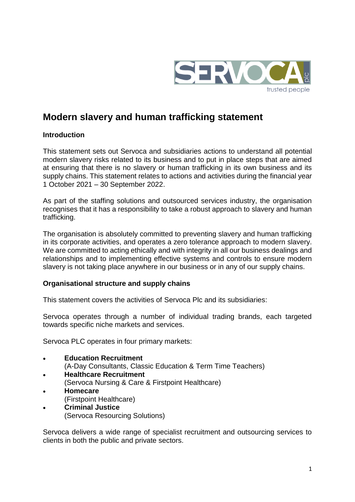

# **Modern slavery and human trafficking statement**

## **Introduction**

This statement sets out Servoca and subsidiaries actions to understand all potential modern slavery risks related to its business and to put in place steps that are aimed at ensuring that there is no slavery or human trafficking in its own business and its supply chains. This statement relates to actions and activities during the financial year 1 October 2021 – 30 September 2022.

As part of the staffing solutions and outsourced services industry, the organisation recognises that it has a responsibility to take a robust approach to slavery and human trafficking.

The organisation is absolutely committed to preventing slavery and human trafficking in its corporate activities, and operates a zero tolerance approach to modern slavery. We are committed to acting ethically and with integrity in all our business dealings and relationships and to implementing effective systems and controls to ensure modern slavery is not taking place anywhere in our business or in any of our supply chains.

# **Organisational structure and supply chains**

This statement covers the activities of Servoca Plc and its subsidiaries:

Servoca operates through a number of individual trading brands, each targeted towards specific niche markets and services.

Servoca PLC operates in four primary markets:

- **[Education Recruitment](http://servoca.com/about-us/#servoca-education-recruitment)** (A-Day Consultants, Classic Education & Term Time Teachers)
- **[Healthcare Recruitment](http://servoca.com/about-us/#servoca-healthcare-recruitment)** (Servoca Nursing & Care & Firstpoint Healthcare)
- **[Homecare](http://servoca.com/about-us/#servoca-homecare)**
	- (Firstpoint Healthcare)
- **[Criminal Justice](http://servoca.com/about-us/#servoca-criminal-justice)** (Servoca Resourcing Solutions)

Servoca delivers a wide range of specialist recruitment and outsourcing services to clients in both the public and private sectors.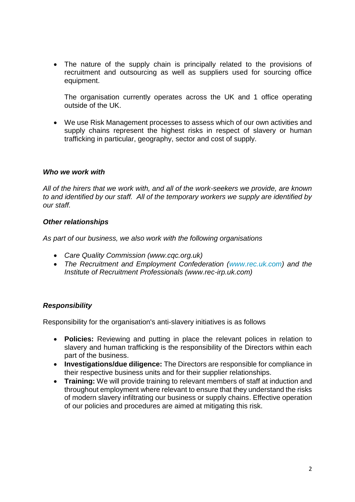• The nature of the supply chain is principally related to the provisions of recruitment and outsourcing as well as suppliers used for sourcing office equipment.

The organisation currently operates across the UK and 1 office operating outside of the UK.

 We use Risk Management processes to assess which of our own activities and supply chains represent the highest risks in respect of slavery or human trafficking in particular, geography, sector and cost of supply.

#### *Who we work with*

*All of the hirers that we work with, and all of the work-seekers we provide, are known to and identified by our staff. All of the temporary workers we supply are identified by our staff.*

#### *Other relationships*

*As part of our business, we also work with the following organisations*

- *Care Quality Commission (www.cqc.org.uk)*
- The Recruitment and Employment Confederation [\(www.rec.uk.com\)](http://www.rec.uk.com/) and the *Institute of Recruitment Professionals (www.rec-irp.uk.com)*

#### *Responsibility*

Responsibility for the organisation's anti-slavery initiatives is as follows

- **Policies:** Reviewing and putting in place the relevant polices in relation to slavery and human trafficking is the responsibility of the Directors within each part of the business.
- **Investigations/due diligence:** The Directors are responsible for compliance in their respective business units and for their supplier relationships.
- **Training:** We will provide training to relevant members of staff at induction and throughout employment where relevant to ensure that they understand the risks of modern slavery infiltrating our business or supply chains. Effective operation of our policies and procedures are aimed at mitigating this risk.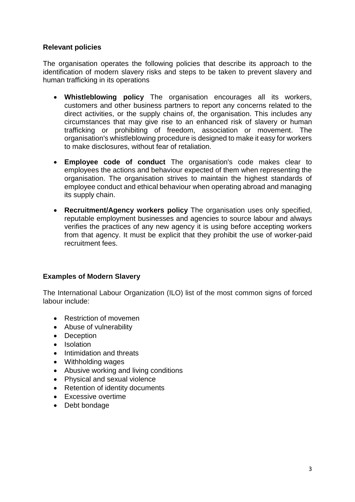## **Relevant policies**

The organisation operates the following policies that describe its approach to the identification of modern slavery risks and steps to be taken to prevent slavery and human trafficking in its operations

- **Whistleblowing policy** The organisation encourages all its workers, customers and other business partners to report any concerns related to the direct activities, or the supply chains of, the organisation. This includes any circumstances that may give rise to an enhanced risk of slavery or human trafficking or prohibiting of freedom, association or movement. The organisation's whistleblowing procedure is designed to make it easy for workers to make disclosures, without fear of retaliation.
- **Employee code of conduct** The organisation's code makes clear to employees the actions and behaviour expected of them when representing the organisation. The organisation strives to maintain the highest standards of employee conduct and ethical behaviour when operating abroad and managing its supply chain.
- **Recruitment/Agency workers policy** The organisation uses only specified, reputable employment businesses and agencies to source labour and always verifies the practices of any new agency it is using before accepting workers from that agency. It must be explicit that they prohibit the use of worker-paid recruitment fees.

# **Examples of Modern Slavery**

The International Labour Organization (ILO) list of the most common signs of forced labour include:

- Restriction of movemen
- Abuse of vulnerability
- Deception
- Isolation
- Intimidation and threats
- Withholding wages
- Abusive working and living conditions
- Physical and sexual violence
- Retention of identity documents
- Excessive overtime
- Debt bondage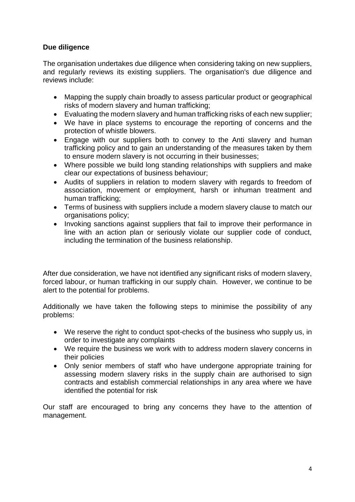# **Due diligence**

The organisation undertakes due diligence when considering taking on new suppliers, and regularly reviews its existing suppliers. The organisation's due diligence and reviews include:

- Mapping the supply chain broadly to assess particular product or geographical risks of modern slavery and human trafficking;
- Evaluating the modern slavery and human trafficking risks of each new supplier;
- We have in place systems to encourage the reporting of concerns and the protection of whistle blowers.
- Engage with our suppliers both to convey to the Anti slavery and human trafficking policy and to gain an understanding of the measures taken by them to ensure modern slavery is not occurring in their businesses;
- Where possible we build long standing relationships with suppliers and make clear our expectations of business behaviour;
- Audits of suppliers in relation to modern slavery with regards to freedom of association, movement or employment, harsh or inhuman treatment and human trafficking;
- Terms of business with suppliers include a modern slavery clause to match our organisations policy;
- Invoking sanctions against suppliers that fail to improve their performance in line with an action plan or seriously violate our supplier code of conduct, including the termination of the business relationship.

After due consideration, we have not identified any significant risks of modern slavery, forced labour, or human trafficking in our supply chain. However, we continue to be alert to the potential for problems.

Additionally we have taken the following steps to minimise the possibility of any problems:

- We reserve the right to conduct spot-checks of the business who supply us, in order to investigate any complaints
- We require the business we work with to address modern slavery concerns in their policies
- Only senior members of staff who have undergone appropriate training for assessing modern slavery risks in the supply chain are authorised to sign contracts and establish commercial relationships in any area where we have identified the potential for risk

Our staff are encouraged to bring any concerns they have to the attention of management.